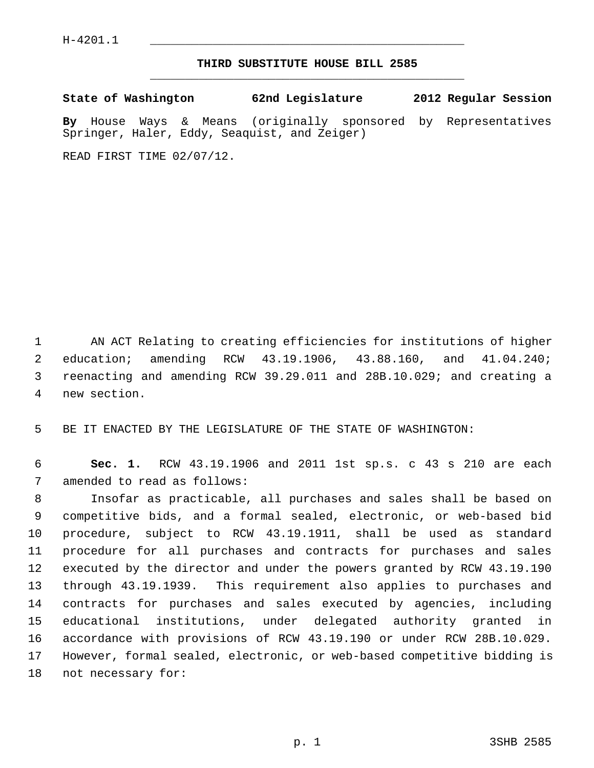$H-4201.1$ 

## **THIRD SUBSTITUTE HOUSE BILL 2585** \_\_\_\_\_\_\_\_\_\_\_\_\_\_\_\_\_\_\_\_\_\_\_\_\_\_\_\_\_\_\_\_\_\_\_\_\_\_\_\_\_\_\_\_\_

**State of Washington 62nd Legislature 2012 Regular Session**

**By** House Ways & Means (originally sponsored by Representatives Springer, Haler, Eddy, Seaquist, and Zeiger)

READ FIRST TIME 02/07/12.

 1 AN ACT Relating to creating efficiencies for institutions of higher 2 education; amending RCW 43.19.1906, 43.88.160, and 41.04.240; 3 reenacting and amending RCW 39.29.011 and 28B.10.029; and creating a 4 new section.

5 BE IT ENACTED BY THE LEGISLATURE OF THE STATE OF WASHINGTON:

 6 **Sec. 1.** RCW 43.19.1906 and 2011 1st sp.s. c 43 s 210 are each 7 amended to read as follows:

 8 Insofar as practicable, all purchases and sales shall be based on 9 competitive bids, and a formal sealed, electronic, or web-based bid 10 procedure, subject to RCW 43.19.1911, shall be used as standard 11 procedure for all purchases and contracts for purchases and sales 12 executed by the director and under the powers granted by RCW 43.19.190 13 through 43.19.1939. This requirement also applies to purchases and 14 contracts for purchases and sales executed by agencies, including 15 educational institutions, under delegated authority granted in 16 accordance with provisions of RCW 43.19.190 or under RCW 28B.10.029. 17 However, formal sealed, electronic, or web-based competitive bidding is 18 not necessary for: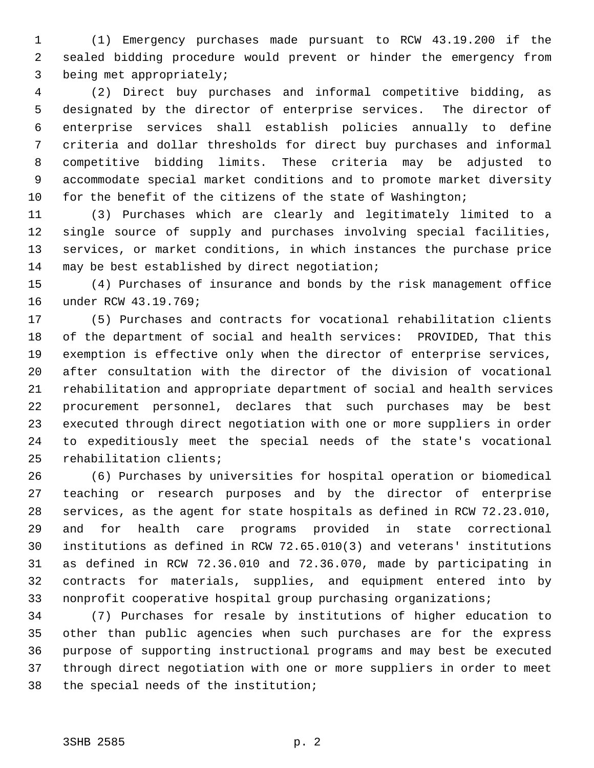1 (1) Emergency purchases made pursuant to RCW 43.19.200 if the 2 sealed bidding procedure would prevent or hinder the emergency from 3 being met appropriately;

 4 (2) Direct buy purchases and informal competitive bidding, as 5 designated by the director of enterprise services. The director of 6 enterprise services shall establish policies annually to define 7 criteria and dollar thresholds for direct buy purchases and informal 8 competitive bidding limits. These criteria may be adjusted to 9 accommodate special market conditions and to promote market diversity 10 for the benefit of the citizens of the state of Washington;

11 (3) Purchases which are clearly and legitimately limited to a 12 single source of supply and purchases involving special facilities, 13 services, or market conditions, in which instances the purchase price 14 may be best established by direct negotiation;

15 (4) Purchases of insurance and bonds by the risk management office 16 under RCW 43.19.769;

17 (5) Purchases and contracts for vocational rehabilitation clients 18 of the department of social and health services: PROVIDED, That this 19 exemption is effective only when the director of enterprise services, 20 after consultation with the director of the division of vocational 21 rehabilitation and appropriate department of social and health services 22 procurement personnel, declares that such purchases may be best 23 executed through direct negotiation with one or more suppliers in order 24 to expeditiously meet the special needs of the state's vocational 25 rehabilitation clients;

26 (6) Purchases by universities for hospital operation or biomedical 27 teaching or research purposes and by the director of enterprise 28 services, as the agent for state hospitals as defined in RCW 72.23.010, 29 and for health care programs provided in state correctional 30 institutions as defined in RCW 72.65.010(3) and veterans' institutions 31 as defined in RCW 72.36.010 and 72.36.070, made by participating in 32 contracts for materials, supplies, and equipment entered into by 33 nonprofit cooperative hospital group purchasing organizations;

34 (7) Purchases for resale by institutions of higher education to 35 other than public agencies when such purchases are for the express 36 purpose of supporting instructional programs and may best be executed 37 through direct negotiation with one or more suppliers in order to meet 38 the special needs of the institution;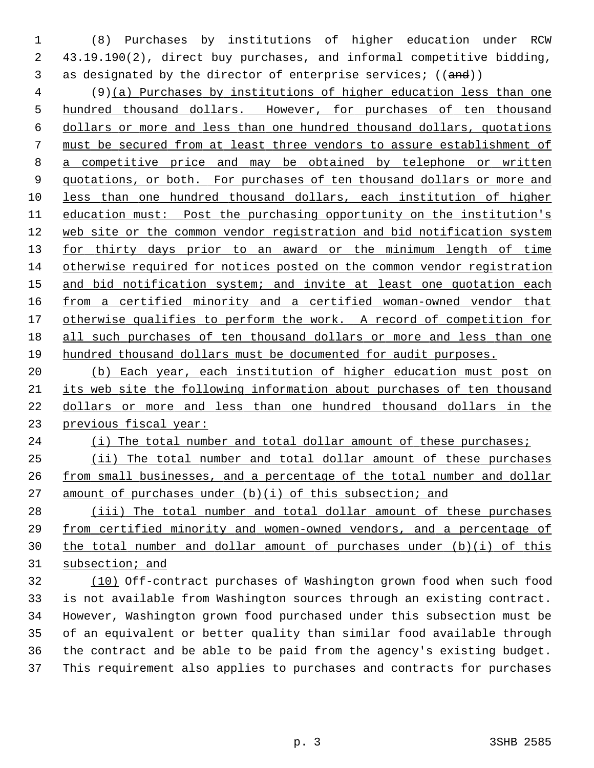1 (8) Purchases by institutions of higher education under RCW 2 43.19.190(2), direct buy purchases, and informal competitive bidding, 3 as designated by the director of enterprise services;  $((and))$ 

 4 (9)(a) Purchases by institutions of higher education less than one hundred thousand dollars. However, for purchases of ten thousand dollars or more and less than one hundred thousand dollars, quotations must be secured from at least three vendors to assure establishment of a competitive price and may be obtained by telephone or written quotations, or both. For purchases of ten thousand dollars or more and less than one hundred thousand dollars, each institution of higher education must: Post the purchasing opportunity on the institution's web site or the common vendor registration and bid notification system for thirty days prior to an award or the minimum length of time otherwise required for notices posted on the common vendor registration and bid notification system; and invite at least one quotation each 16 from a certified minority and a certified woman-owned vendor that otherwise qualifies to perform the work. A record of competition for all such purchases of ten thousand dollars or more and less than one hundred thousand dollars must be documented for audit purposes.

 (b) Each year, each institution of higher education must post on its web site the following information about purchases of ten thousand dollars or more and less than one hundred thousand dollars in the previous fiscal year:

24 (i) The total number and total dollar amount of these purchases;

 (ii) The total number and total dollar amount of these purchases from small businesses, and a percentage of the total number and dollar amount of purchases under (b)(i) of this subsection; and

 (iii) The total number and total dollar amount of these purchases from certified minority and women-owned vendors, and a percentage of the total number and dollar amount of purchases under (b)(i) of this subsection; and

 (10) Off-contract purchases of Washington grown food when such food 33 is not available from Washington sources through an existing contract. 34 However, Washington grown food purchased under this subsection must be 35 of an equivalent or better quality than similar food available through 36 the contract and be able to be paid from the agency's existing budget. 37 This requirement also applies to purchases and contracts for purchases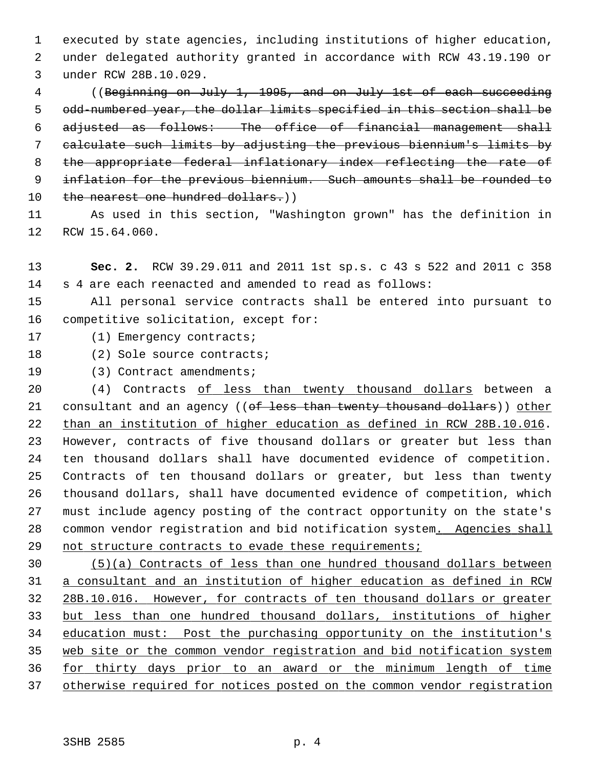1 executed by state agencies, including institutions of higher education, 2 under delegated authority granted in accordance with RCW 43.19.190 or 3 under RCW 28B.10.029.

 4 ((Beginning on July 1, 1995, and on July 1st of each succeeding 5 odd-numbered year, the dollar limits specified in this section shall be 6 adjusted as follows: The office of financial management shall 7 calculate such limits by adjusting the previous biennium's limits by 8 the appropriate federal inflationary index reflecting the rate of 9 inflation for the previous biennium. Such amounts shall be rounded to 10 the nearest one hundred dollars.))

11 As used in this section, "Washington grown" has the definition in 12 RCW 15.64.060.

13 **Sec. 2.** RCW 39.29.011 and 2011 1st sp.s. c 43 s 522 and 2011 c 358 14 s 4 are each reenacted and amended to read as follows:

15 All personal service contracts shall be entered into pursuant to 16 competitive solicitation, except for:

17 (1) Emergency contracts;

18 (2) Sole source contracts;

19 (3) Contract amendments;

20 (4) Contracts of less than twenty thousand dollars between a 21 consultant and an agency ((of less than twenty thousand dollars)) other 22 than an institution of higher education as defined in RCW 28B.10.016. 23 However, contracts of five thousand dollars or greater but less than 24 ten thousand dollars shall have documented evidence of competition. 25 Contracts of ten thousand dollars or greater, but less than twenty 26 thousand dollars, shall have documented evidence of competition, which 27 must include agency posting of the contract opportunity on the state's 28 common vendor registration and bid notification system. Agencies shall 29 not structure contracts to evade these requirements;

 (5)(a) Contracts of less than one hundred thousand dollars between a consultant and an institution of higher education as defined in RCW 28B.10.016. However, for contracts of ten thousand dollars or greater but less than one hundred thousand dollars, institutions of higher education must: Post the purchasing opportunity on the institution's web site or the common vendor registration and bid notification system for thirty days prior to an award or the minimum length of time otherwise required for notices posted on the common vendor registration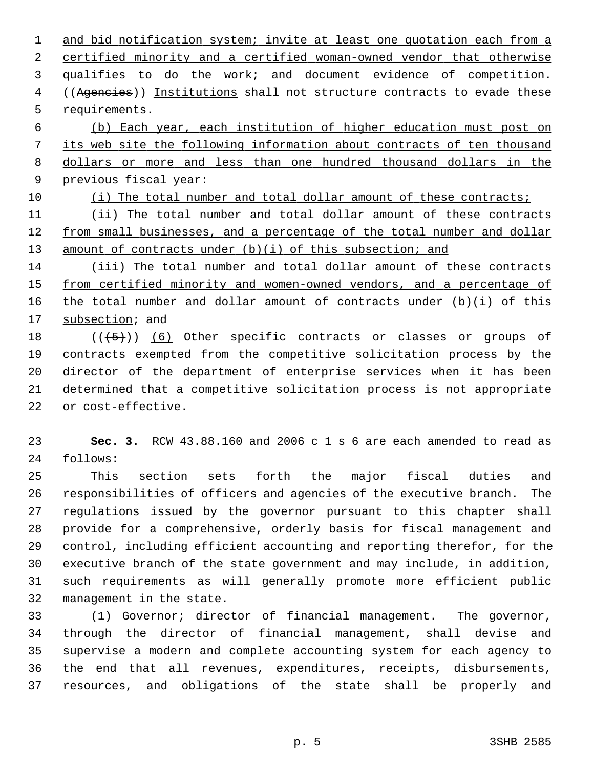and bid notification system; invite at least one quotation each from a certified minority and a certified woman-owned vendor that otherwise qualifies to do the work; and document evidence of competition. 4 ((Agencies)) Institutions shall not structure contracts to evade these 5 requirements. (b) Each year, each institution of higher education must post on its web site the following information about contracts of ten thousand dollars or more and less than one hundred thousand dollars in the previous fiscal year: (i) The total number and total dollar amount of these contracts; (ii) The total number and total dollar amount of these contracts from small businesses, and a percentage of the total number and dollar 13 amount of contracts under (b)(i) of this subsection; and (iii) The total number and total dollar amount of these contracts from certified minority and women-owned vendors, and a percentage of the total number and dollar amount of contracts under (b)(i) of this 17 subsection; and

18  $((\langle 5 \rangle) )$  (6) Other specific contracts or classes or groups of 19 contracts exempted from the competitive solicitation process by the 20 director of the department of enterprise services when it has been 21 determined that a competitive solicitation process is not appropriate 22 or cost-effective.

23 **Sec. 3.** RCW 43.88.160 and 2006 c 1 s 6 are each amended to read as 24 follows:

25 This section sets forth the major fiscal duties and 26 responsibilities of officers and agencies of the executive branch. The 27 regulations issued by the governor pursuant to this chapter shall 28 provide for a comprehensive, orderly basis for fiscal management and 29 control, including efficient accounting and reporting therefor, for the 30 executive branch of the state government and may include, in addition, 31 such requirements as will generally promote more efficient public 32 management in the state.

33 (1) Governor; director of financial management. The governor, 34 through the director of financial management, shall devise and 35 supervise a modern and complete accounting system for each agency to 36 the end that all revenues, expenditures, receipts, disbursements, 37 resources, and obligations of the state shall be properly and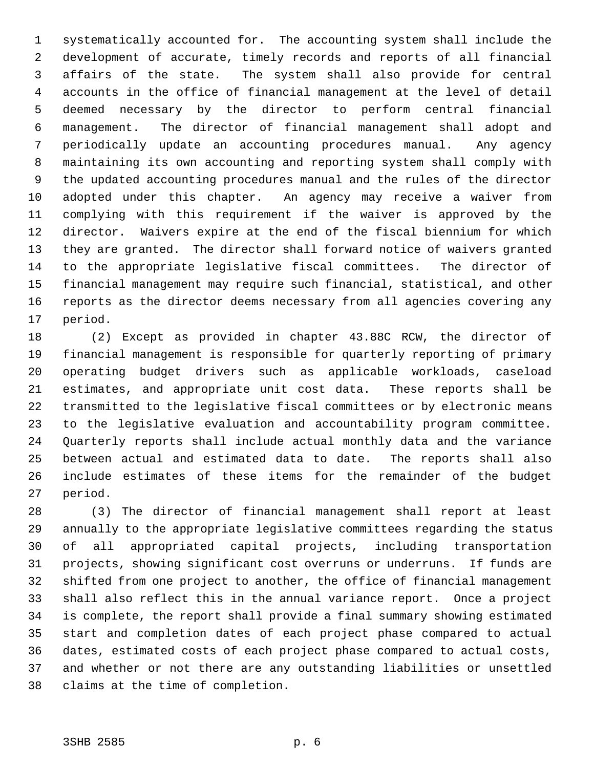1 systematically accounted for. The accounting system shall include the 2 development of accurate, timely records and reports of all financial 3 affairs of the state. The system shall also provide for central 4 accounts in the office of financial management at the level of detail 5 deemed necessary by the director to perform central financial 6 management. The director of financial management shall adopt and 7 periodically update an accounting procedures manual. Any agency 8 maintaining its own accounting and reporting system shall comply with 9 the updated accounting procedures manual and the rules of the director 10 adopted under this chapter. An agency may receive a waiver from 11 complying with this requirement if the waiver is approved by the 12 director. Waivers expire at the end of the fiscal biennium for which 13 they are granted. The director shall forward notice of waivers granted 14 to the appropriate legislative fiscal committees. The director of 15 financial management may require such financial, statistical, and other 16 reports as the director deems necessary from all agencies covering any 17 period.

18 (2) Except as provided in chapter 43.88C RCW, the director of 19 financial management is responsible for quarterly reporting of primary 20 operating budget drivers such as applicable workloads, caseload 21 estimates, and appropriate unit cost data. These reports shall be 22 transmitted to the legislative fiscal committees or by electronic means 23 to the legislative evaluation and accountability program committee. 24 Quarterly reports shall include actual monthly data and the variance 25 between actual and estimated data to date. The reports shall also 26 include estimates of these items for the remainder of the budget 27 period.

28 (3) The director of financial management shall report at least 29 annually to the appropriate legislative committees regarding the status 30 of all appropriated capital projects, including transportation 31 projects, showing significant cost overruns or underruns. If funds are 32 shifted from one project to another, the office of financial management 33 shall also reflect this in the annual variance report. Once a project 34 is complete, the report shall provide a final summary showing estimated 35 start and completion dates of each project phase compared to actual 36 dates, estimated costs of each project phase compared to actual costs, 37 and whether or not there are any outstanding liabilities or unsettled 38 claims at the time of completion.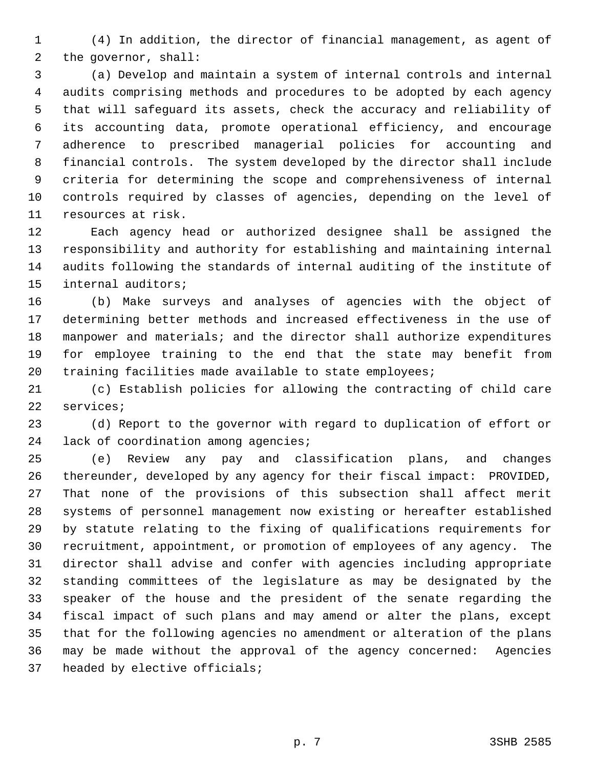1 (4) In addition, the director of financial management, as agent of 2 the governor, shall:

 3 (a) Develop and maintain a system of internal controls and internal 4 audits comprising methods and procedures to be adopted by each agency 5 that will safeguard its assets, check the accuracy and reliability of 6 its accounting data, promote operational efficiency, and encourage 7 adherence to prescribed managerial policies for accounting and 8 financial controls. The system developed by the director shall include 9 criteria for determining the scope and comprehensiveness of internal 10 controls required by classes of agencies, depending on the level of 11 resources at risk.

12 Each agency head or authorized designee shall be assigned the 13 responsibility and authority for establishing and maintaining internal 14 audits following the standards of internal auditing of the institute of 15 internal auditors;

16 (b) Make surveys and analyses of agencies with the object of 17 determining better methods and increased effectiveness in the use of 18 manpower and materials; and the director shall authorize expenditures 19 for employee training to the end that the state may benefit from 20 training facilities made available to state employees;

21 (c) Establish policies for allowing the contracting of child care 22 services;

23 (d) Report to the governor with regard to duplication of effort or 24 lack of coordination among agencies;

25 (e) Review any pay and classification plans, and changes 26 thereunder, developed by any agency for their fiscal impact: PROVIDED, 27 That none of the provisions of this subsection shall affect merit 28 systems of personnel management now existing or hereafter established 29 by statute relating to the fixing of qualifications requirements for 30 recruitment, appointment, or promotion of employees of any agency. The 31 director shall advise and confer with agencies including appropriate 32 standing committees of the legislature as may be designated by the 33 speaker of the house and the president of the senate regarding the 34 fiscal impact of such plans and may amend or alter the plans, except 35 that for the following agencies no amendment or alteration of the plans 36 may be made without the approval of the agency concerned: Agencies 37 headed by elective officials;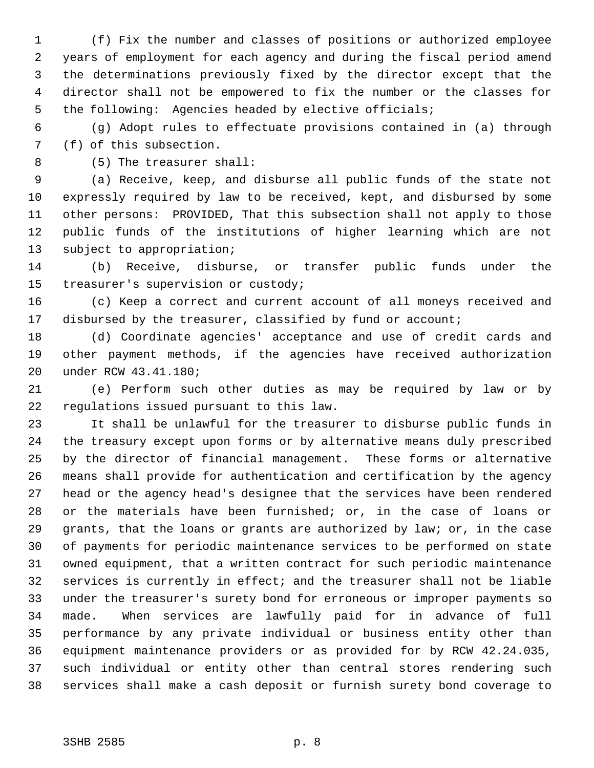1 (f) Fix the number and classes of positions or authorized employee 2 years of employment for each agency and during the fiscal period amend 3 the determinations previously fixed by the director except that the 4 director shall not be empowered to fix the number or the classes for 5 the following: Agencies headed by elective officials;

 6 (g) Adopt rules to effectuate provisions contained in (a) through 7 (f) of this subsection.

8 (5) The treasurer shall:

 9 (a) Receive, keep, and disburse all public funds of the state not 10 expressly required by law to be received, kept, and disbursed by some 11 other persons: PROVIDED, That this subsection shall not apply to those 12 public funds of the institutions of higher learning which are not 13 subject to appropriation;

14 (b) Receive, disburse, or transfer public funds under the 15 treasurer's supervision or custody;

16 (c) Keep a correct and current account of all moneys received and 17 disbursed by the treasurer, classified by fund or account;

18 (d) Coordinate agencies' acceptance and use of credit cards and 19 other payment methods, if the agencies have received authorization 20 under RCW 43.41.180;

21 (e) Perform such other duties as may be required by law or by 22 regulations issued pursuant to this law.

23 It shall be unlawful for the treasurer to disburse public funds in 24 the treasury except upon forms or by alternative means duly prescribed 25 by the director of financial management. These forms or alternative 26 means shall provide for authentication and certification by the agency 27 head or the agency head's designee that the services have been rendered 28 or the materials have been furnished; or, in the case of loans or 29 grants, that the loans or grants are authorized by law; or, in the case 30 of payments for periodic maintenance services to be performed on state 31 owned equipment, that a written contract for such periodic maintenance 32 services is currently in effect; and the treasurer shall not be liable 33 under the treasurer's surety bond for erroneous or improper payments so 34 made. When services are lawfully paid for in advance of full 35 performance by any private individual or business entity other than 36 equipment maintenance providers or as provided for by RCW 42.24.035, 37 such individual or entity other than central stores rendering such 38 services shall make a cash deposit or furnish surety bond coverage to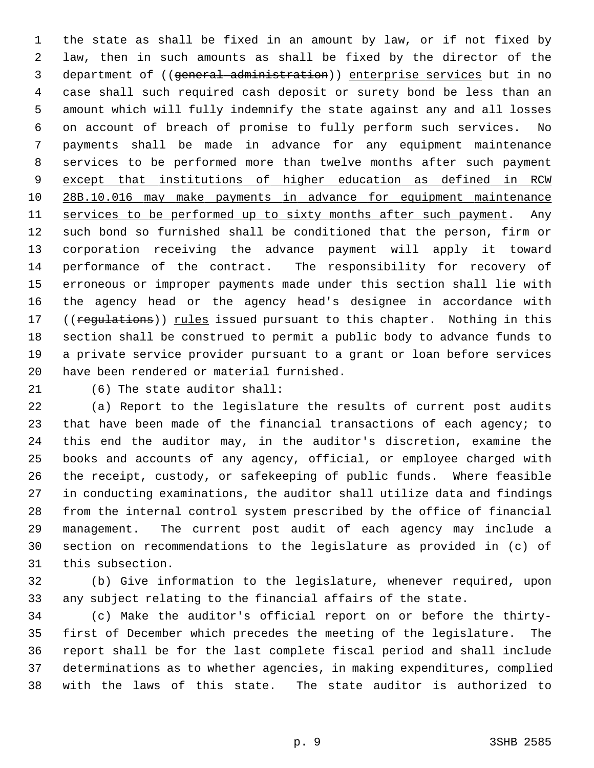1 the state as shall be fixed in an amount by law, or if not fixed by 2 law, then in such amounts as shall be fixed by the director of the 3 department of ((general administration)) enterprise services but in no 4 case shall such required cash deposit or surety bond be less than an 5 amount which will fully indemnify the state against any and all losses 6 on account of breach of promise to fully perform such services. No 7 payments shall be made in advance for any equipment maintenance 8 services to be performed more than twelve months after such payment 9 except that institutions of higher education as defined in RCW 10 28B.10.016 may make payments in advance for equipment maintenance 11 services to be performed up to sixty months after such payment. Any 12 such bond so furnished shall be conditioned that the person, firm or 13 corporation receiving the advance payment will apply it toward 14 performance of the contract. The responsibility for recovery of 15 erroneous or improper payments made under this section shall lie with 16 the agency head or the agency head's designee in accordance with 17 ((regulations)) rules issued pursuant to this chapter. Nothing in this 18 section shall be construed to permit a public body to advance funds to 19 a private service provider pursuant to a grant or loan before services 20 have been rendered or material furnished.

21 (6) The state auditor shall:

22 (a) Report to the legislature the results of current post audits 23 that have been made of the financial transactions of each agency; to 24 this end the auditor may, in the auditor's discretion, examine the 25 books and accounts of any agency, official, or employee charged with 26 the receipt, custody, or safekeeping of public funds. Where feasible 27 in conducting examinations, the auditor shall utilize data and findings 28 from the internal control system prescribed by the office of financial 29 management. The current post audit of each agency may include a 30 section on recommendations to the legislature as provided in (c) of 31 this subsection.

32 (b) Give information to the legislature, whenever required, upon 33 any subject relating to the financial affairs of the state.

34 (c) Make the auditor's official report on or before the thirty-35 first of December which precedes the meeting of the legislature. The 36 report shall be for the last complete fiscal period and shall include 37 determinations as to whether agencies, in making expenditures, complied 38 with the laws of this state. The state auditor is authorized to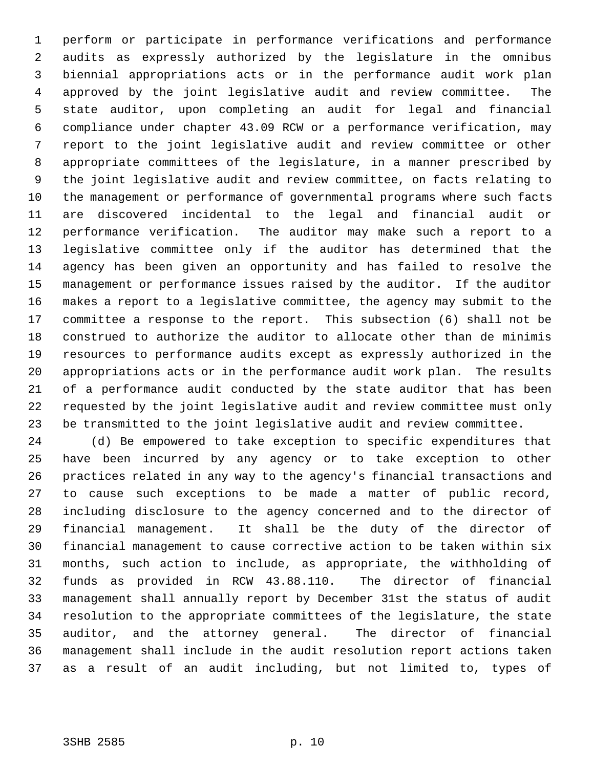1 perform or participate in performance verifications and performance 2 audits as expressly authorized by the legislature in the omnibus 3 biennial appropriations acts or in the performance audit work plan 4 approved by the joint legislative audit and review committee. The 5 state auditor, upon completing an audit for legal and financial 6 compliance under chapter 43.09 RCW or a performance verification, may 7 report to the joint legislative audit and review committee or other 8 appropriate committees of the legislature, in a manner prescribed by 9 the joint legislative audit and review committee, on facts relating to 10 the management or performance of governmental programs where such facts 11 are discovered incidental to the legal and financial audit or 12 performance verification. The auditor may make such a report to a 13 legislative committee only if the auditor has determined that the 14 agency has been given an opportunity and has failed to resolve the 15 management or performance issues raised by the auditor. If the auditor 16 makes a report to a legislative committee, the agency may submit to the 17 committee a response to the report. This subsection (6) shall not be 18 construed to authorize the auditor to allocate other than de minimis 19 resources to performance audits except as expressly authorized in the 20 appropriations acts or in the performance audit work plan. The results 21 of a performance audit conducted by the state auditor that has been 22 requested by the joint legislative audit and review committee must only 23 be transmitted to the joint legislative audit and review committee.

24 (d) Be empowered to take exception to specific expenditures that 25 have been incurred by any agency or to take exception to other 26 practices related in any way to the agency's financial transactions and 27 to cause such exceptions to be made a matter of public record, 28 including disclosure to the agency concerned and to the director of 29 financial management. It shall be the duty of the director of 30 financial management to cause corrective action to be taken within six 31 months, such action to include, as appropriate, the withholding of 32 funds as provided in RCW 43.88.110. The director of financial 33 management shall annually report by December 31st the status of audit 34 resolution to the appropriate committees of the legislature, the state 35 auditor, and the attorney general. The director of financial 36 management shall include in the audit resolution report actions taken 37 as a result of an audit including, but not limited to, types of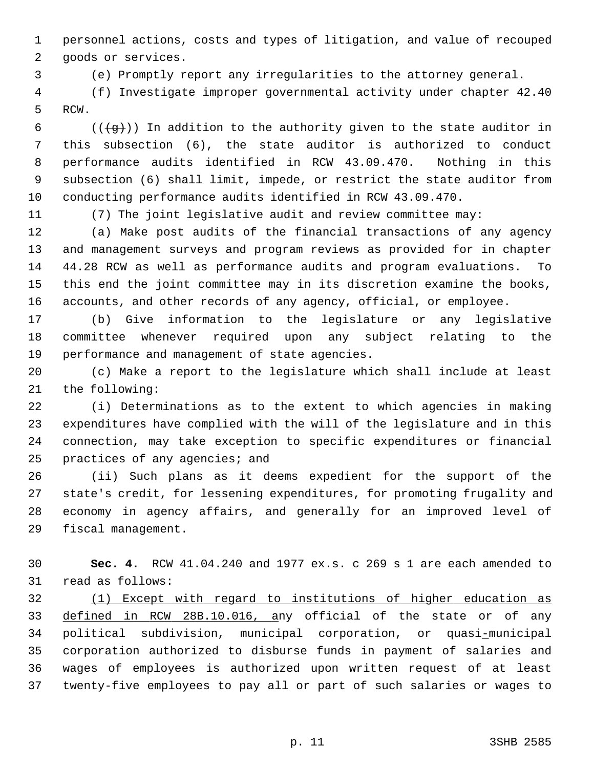1 personnel actions, costs and types of litigation, and value of recouped 2 goods or services.

3 (e) Promptly report any irregularities to the attorney general.

 4 (f) Investigate improper governmental activity under chapter 42.40 5 RCW.

6 ( $(\frac{1}{9})$ ) In addition to the authority given to the state auditor in 7 this subsection (6), the state auditor is authorized to conduct 8 performance audits identified in RCW 43.09.470. Nothing in this 9 subsection (6) shall limit, impede, or restrict the state auditor from 10 conducting performance audits identified in RCW 43.09.470.

11 (7) The joint legislative audit and review committee may:

12 (a) Make post audits of the financial transactions of any agency 13 and management surveys and program reviews as provided for in chapter 14 44.28 RCW as well as performance audits and program evaluations. To 15 this end the joint committee may in its discretion examine the books, 16 accounts, and other records of any agency, official, or employee.

17 (b) Give information to the legislature or any legislative 18 committee whenever required upon any subject relating to the 19 performance and management of state agencies.

20 (c) Make a report to the legislature which shall include at least 21 the following:

22 (i) Determinations as to the extent to which agencies in making 23 expenditures have complied with the will of the legislature and in this 24 connection, may take exception to specific expenditures or financial 25 practices of any agencies; and

26 (ii) Such plans as it deems expedient for the support of the 27 state's credit, for lessening expenditures, for promoting frugality and 28 economy in agency affairs, and generally for an improved level of 29 fiscal management.

30 **Sec. 4.** RCW 41.04.240 and 1977 ex.s. c 269 s 1 are each amended to 31 read as follows:

32 (1) Except with regard to institutions of higher education as 33 defined in RCW 28B.10.016, any official of the state or of any 34 political subdivision, municipal corporation, or quasi-municipal 35 corporation authorized to disburse funds in payment of salaries and 36 wages of employees is authorized upon written request of at least 37 twenty-five employees to pay all or part of such salaries or wages to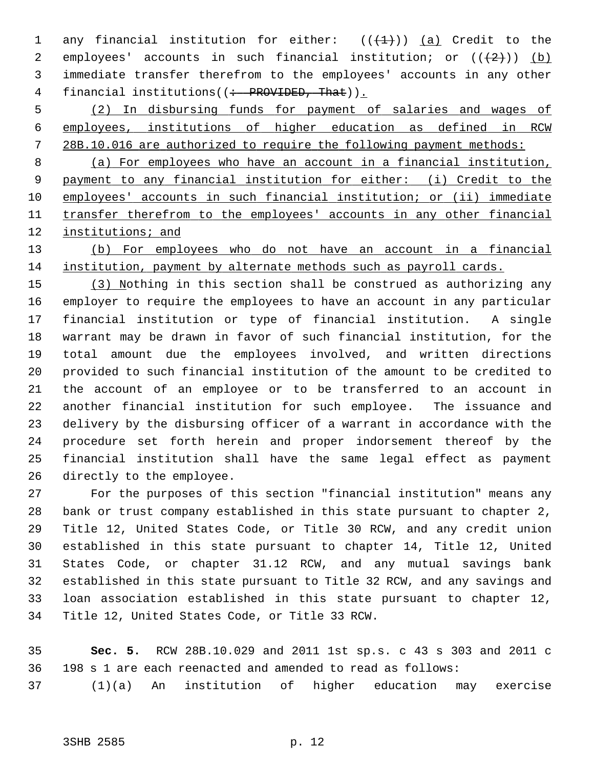1 any financial institution for either:  $((+1))$  (a) Credit to the 2 employees' accounts in such financial institution; or  $((+2)^{n})$  (b) 3 immediate transfer therefrom to the employees' accounts in any other 4 financial institutions((: PROVIDED, That)).

 5 (2) In disbursing funds for payment of salaries and wages of 6 employees, institutions of higher education as defined in RCW 7 28B.10.016 are authorized to require the following payment methods:

 (a) For employees who have an account in a financial institution, payment to any financial institution for either: (i) Credit to the employees' accounts in such financial institution; or (ii) immediate transfer therefrom to the employees' accounts in any other financial institutions; and

13 (b) For employees who do not have an account in a financial 14 institution, payment by alternate methods such as payroll cards.

15 (3) Nothing in this section shall be construed as authorizing any 16 employer to require the employees to have an account in any particular 17 financial institution or type of financial institution. A single 18 warrant may be drawn in favor of such financial institution, for the 19 total amount due the employees involved, and written directions 20 provided to such financial institution of the amount to be credited to 21 the account of an employee or to be transferred to an account in 22 another financial institution for such employee. The issuance and 23 delivery by the disbursing officer of a warrant in accordance with the 24 procedure set forth herein and proper indorsement thereof by the 25 financial institution shall have the same legal effect as payment 26 directly to the employee.

27 For the purposes of this section "financial institution" means any 28 bank or trust company established in this state pursuant to chapter 2, 29 Title 12, United States Code, or Title 30 RCW, and any credit union 30 established in this state pursuant to chapter 14, Title 12, United 31 States Code, or chapter 31.12 RCW, and any mutual savings bank 32 established in this state pursuant to Title 32 RCW, and any savings and 33 loan association established in this state pursuant to chapter 12, 34 Title 12, United States Code, or Title 33 RCW.

35 **Sec. 5.** RCW 28B.10.029 and 2011 1st sp.s. c 43 s 303 and 2011 c 36 198 s 1 are each reenacted and amended to read as follows: 37 (1)(a) An institution of higher education may exercise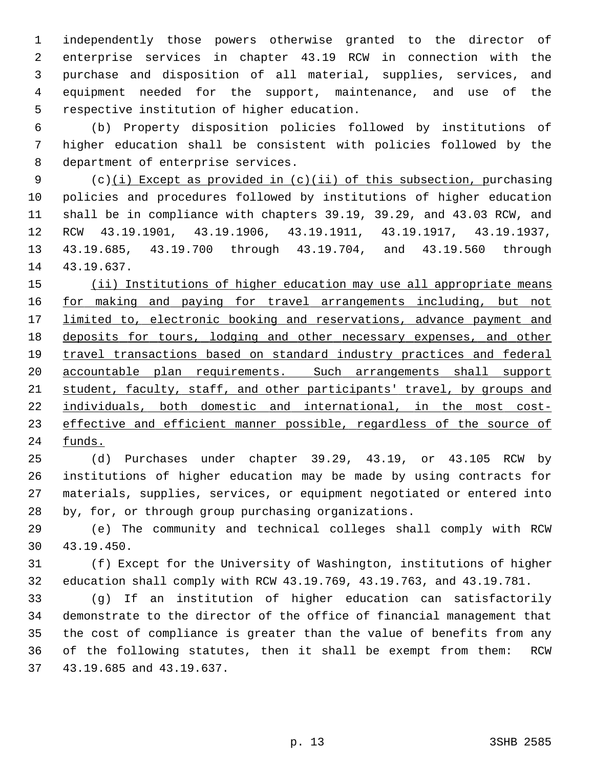1 independently those powers otherwise granted to the director of 2 enterprise services in chapter 43.19 RCW in connection with the 3 purchase and disposition of all material, supplies, services, and 4 equipment needed for the support, maintenance, and use of the 5 respective institution of higher education.

 6 (b) Property disposition policies followed by institutions of 7 higher education shall be consistent with policies followed by the 8 department of enterprise services.

 9 (c)(i) Except as provided in (c)(ii) of this subsection, purchasing 10 policies and procedures followed by institutions of higher education 11 shall be in compliance with chapters 39.19, 39.29, and 43.03 RCW, and 12 RCW 43.19.1901, 43.19.1906, 43.19.1911, 43.19.1917, 43.19.1937, 13 43.19.685, 43.19.700 through 43.19.704, and 43.19.560 through 14 43.19.637.

 (ii) Institutions of higher education may use all appropriate means 16 for making and paying for travel arrangements including, but not limited to, electronic booking and reservations, advance payment and deposits for tours, lodging and other necessary expenses, and other travel transactions based on standard industry practices and federal accountable plan requirements. Such arrangements shall support student, faculty, staff, and other participants' travel, by groups and individuals, both domestic and international, in the most cost- effective and efficient manner possible, regardless of the source of 24 funds.

25 (d) Purchases under chapter 39.29, 43.19, or 43.105 RCW by 26 institutions of higher education may be made by using contracts for 27 materials, supplies, services, or equipment negotiated or entered into 28 by, for, or through group purchasing organizations.

29 (e) The community and technical colleges shall comply with RCW 30 43.19.450.

31 (f) Except for the University of Washington, institutions of higher 32 education shall comply with RCW 43.19.769, 43.19.763, and 43.19.781.

33 (g) If an institution of higher education can satisfactorily 34 demonstrate to the director of the office of financial management that 35 the cost of compliance is greater than the value of benefits from any 36 of the following statutes, then it shall be exempt from them: RCW 37 43.19.685 and 43.19.637.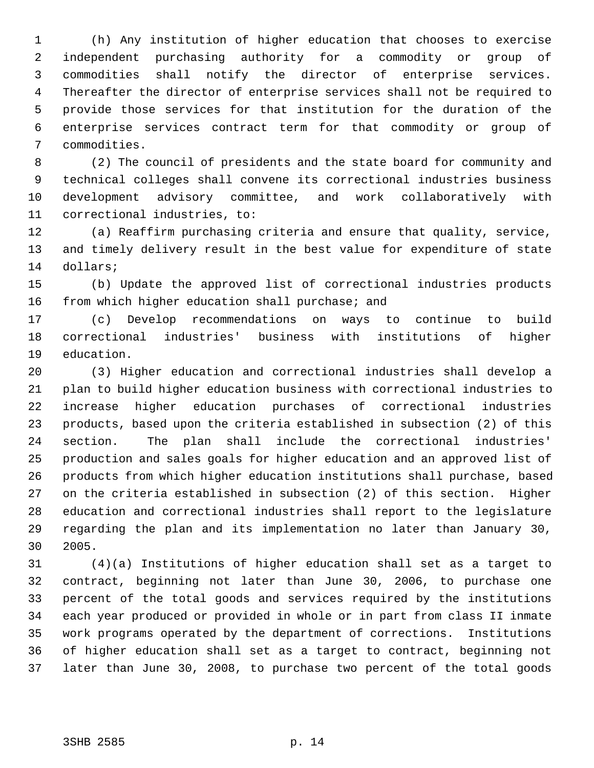1 (h) Any institution of higher education that chooses to exercise 2 independent purchasing authority for a commodity or group of 3 commodities shall notify the director of enterprise services. 4 Thereafter the director of enterprise services shall not be required to 5 provide those services for that institution for the duration of the 6 enterprise services contract term for that commodity or group of 7 commodities.

 8 (2) The council of presidents and the state board for community and 9 technical colleges shall convene its correctional industries business 10 development advisory committee, and work collaboratively with 11 correctional industries, to:

12 (a) Reaffirm purchasing criteria and ensure that quality, service, 13 and timely delivery result in the best value for expenditure of state 14 dollars;

15 (b) Update the approved list of correctional industries products 16 from which higher education shall purchase; and

17 (c) Develop recommendations on ways to continue to build 18 correctional industries' business with institutions of higher 19 education.

20 (3) Higher education and correctional industries shall develop a 21 plan to build higher education business with correctional industries to 22 increase higher education purchases of correctional industries 23 products, based upon the criteria established in subsection (2) of this 24 section. The plan shall include the correctional industries' 25 production and sales goals for higher education and an approved list of 26 products from which higher education institutions shall purchase, based 27 on the criteria established in subsection (2) of this section. Higher 28 education and correctional industries shall report to the legislature 29 regarding the plan and its implementation no later than January 30, 30 2005.

31 (4)(a) Institutions of higher education shall set as a target to 32 contract, beginning not later than June 30, 2006, to purchase one 33 percent of the total goods and services required by the institutions 34 each year produced or provided in whole or in part from class II inmate 35 work programs operated by the department of corrections. Institutions 36 of higher education shall set as a target to contract, beginning not 37 later than June 30, 2008, to purchase two percent of the total goods